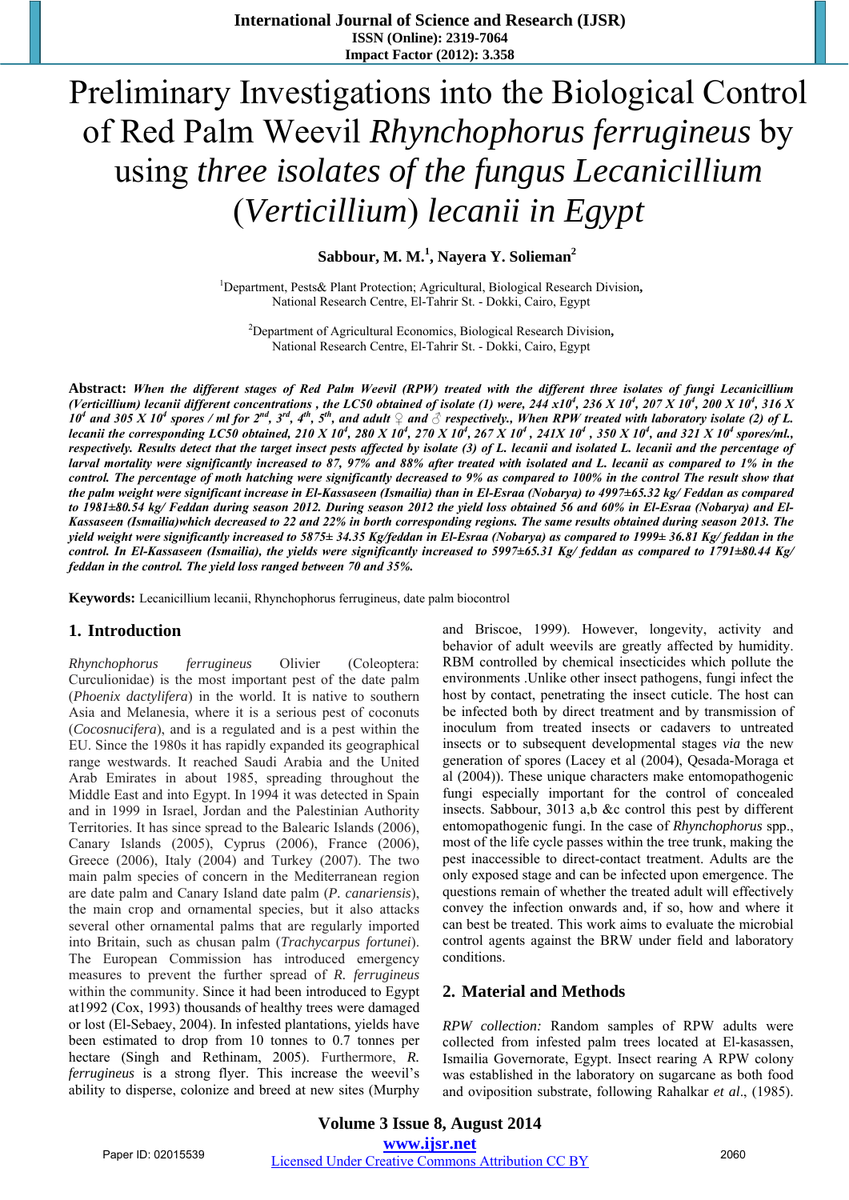# Preliminary Investigations into the Biological Control of Red Palm Weevil *Rhynchophorus ferrugineus* by using *three isolates of the fungus Lecanicillium*  (*Verticillium*) *lecanii in Egypt*

Sabbour, M. M.<sup>1</sup>, Nayera Y. Solieman<sup>2</sup>

1 Department, Pests& Plant Protection; Agricultural, Biological Research Division**,** National Research Centre, El-Tahrir St. - Dokki, Cairo, Egypt

2 Department of Agricultural Economics, Biological Research Division**,** National Research Centre, El-Tahrir St. - Dokki, Cairo, Egypt

**Abstract:** *When the different stages of Red Palm Weevil (RPW) treated with the different three isolates of fungi Lecanicillium (Verticillium) lecanii different concentrations , the LC50 obtained of isolate (1) were,*  $244 \times 10^4$ *,*  $236 \times 10^4$ *,*  $207 \times 10^4$ *,*  $200 \times 10^4$ *,*  $316 \times$  $10^4$  and 305 X 10<sup>4</sup> spores / ml for  $2^{nd}$ ,  $3^{rd}$ ,  $4^{th}$ ,  $5^{th}$ , and adult  $\frac{1}{2}$  and  $\frac{3}{2}$  respectively., When RPW treated with laboratory isolate (2) of L. *lecanii the corresponding LC50 obtained, 210 X 10<sup>4</sup>, 280 X 10<sup>4</sup>, 270 X 10<sup>4</sup>, 267 X 10<sup>4</sup>, 241X 10<sup>4</sup>, 350 X 10<sup>4</sup>, and 321 X 10<sup>4</sup> spores/ml., respectively. Results detect that the target insect pests affected by isolate (3) of L. lecanii and isolated L. lecanii and the percentage of larval mortality were significantly increased to 87, 97% and 88% after treated with isolated and L. lecanii as compared to 1% in the control. The percentage of moth hatching were significantly decreased to 9% as compared to 100% in the control The result show that the palm weight were significant increase in El-Kassaseen (Ismailia) than in El-Esraa (Nobarya) to 4997±65.32 kg/ Feddan as compared to 1981±80.54 kg/ Feddan during season 2012. During season 2012 the yield loss obtained 56 and 60% in El-Esraa (Nobarya) and El-Kassaseen (Ismailia)which decreased to 22 and 22% in borth corresponding regions. The same results obtained during season 2013. The yield weight were significantly increased to 5875± 34.35 Kg/feddan in El-Esraa (Nobarya) as compared to 1999± 36.81 Kg/ feddan in the control. In El-Kassaseen (Ismailia), the yields were significantly increased to 5997±65.31 Kg/ feddan as compared to 1791±80.44 Kg/ feddan in the control. The yield loss ranged between 70 and 35%.* 

**Keywords:** Lecanicillium lecanii, Rhynchophorus ferrugineus, date palm biocontrol

# **1. Introduction**

*Rhynchophorus ferrugineus* Olivier (Coleoptera: Curculionidae) is the most important pest of the date palm (*Phoenix dactylifera*) in the world. It is native to southern Asia and Melanesia, where it is a serious pest of coconuts (*Cocosnucifera*), and is a regulated and is a pest within the EU. Since the 1980s it has rapidly expanded its geographical range westwards. It reached Saudi Arabia and the United Arab Emirates in about 1985, spreading throughout the Middle East and into Egypt. In 1994 it was detected in Spain and in 1999 in Israel, Jordan and the Palestinian Authority Territories. It has since spread to the Balearic Islands (2006), Canary Islands (2005), Cyprus (2006), France (2006), Greece (2006), Italy (2004) and Turkey (2007). The two main palm species of concern in the Mediterranean region are date palm and Canary Island date palm (*P. canariensis*), the main crop and ornamental species, but it also attacks several other ornamental palms that are regularly imported into Britain, such as chusan palm (*Trachycarpus fortunei*). The European Commission has introduced emergency measures to prevent the further spread of *R. ferrugineus*  within the community. Since it had been introduced to Egypt at1992 (Cox, 1993) thousands of healthy trees were damaged or lost (El-Sebaey, 2004). In infested plantations, yields have been estimated to drop from 10 tonnes to 0.7 tonnes per hectare (Singh and Rethinam, 2005). Furthermore, *R. ferrugineus* is a strong flyer. This increase the weevil's ability to disperse, colonize and breed at new sites (Murphy

and Briscoe, 1999). However, longevity, activity and behavior of adult weevils are greatly affected by humidity. RBM controlled by chemical insecticides which pollute the environments .Unlike other insect pathogens, fungi infect the host by contact, penetrating the insect cuticle. The host can be infected both by direct treatment and by transmission of inoculum from treated insects or cadavers to untreated insects or to subsequent developmental stages *via* the new generation of spores (Lacey et al (2004), Qesada-Moraga et al (2004)). These unique characters make entomopathogenic fungi especially important for the control of concealed insects. Sabbour, 3013 a,b &c control this pest by different entomopathogenic fungi. In the case of *Rhynchophorus* spp., most of the life cycle passes within the tree trunk, making the pest inaccessible to direct-contact treatment. Adults are the only exposed stage and can be infected upon emergence. The questions remain of whether the treated adult will effectively convey the infection onwards and, if so, how and where it can best be treated. This work aims to evaluate the microbial control agents against the BRW under field and laboratory conditions.

# **2. Material and Methods**

*RPW collection:* Random samples of RPW adults were collected from infested palm trees located at El-kasassen, Ismailia Governorate, Egypt. Insect rearing A RPW colony was established in the laboratory on sugarcane as both food and oviposition substrate, following Rahalkar *et al*., (1985).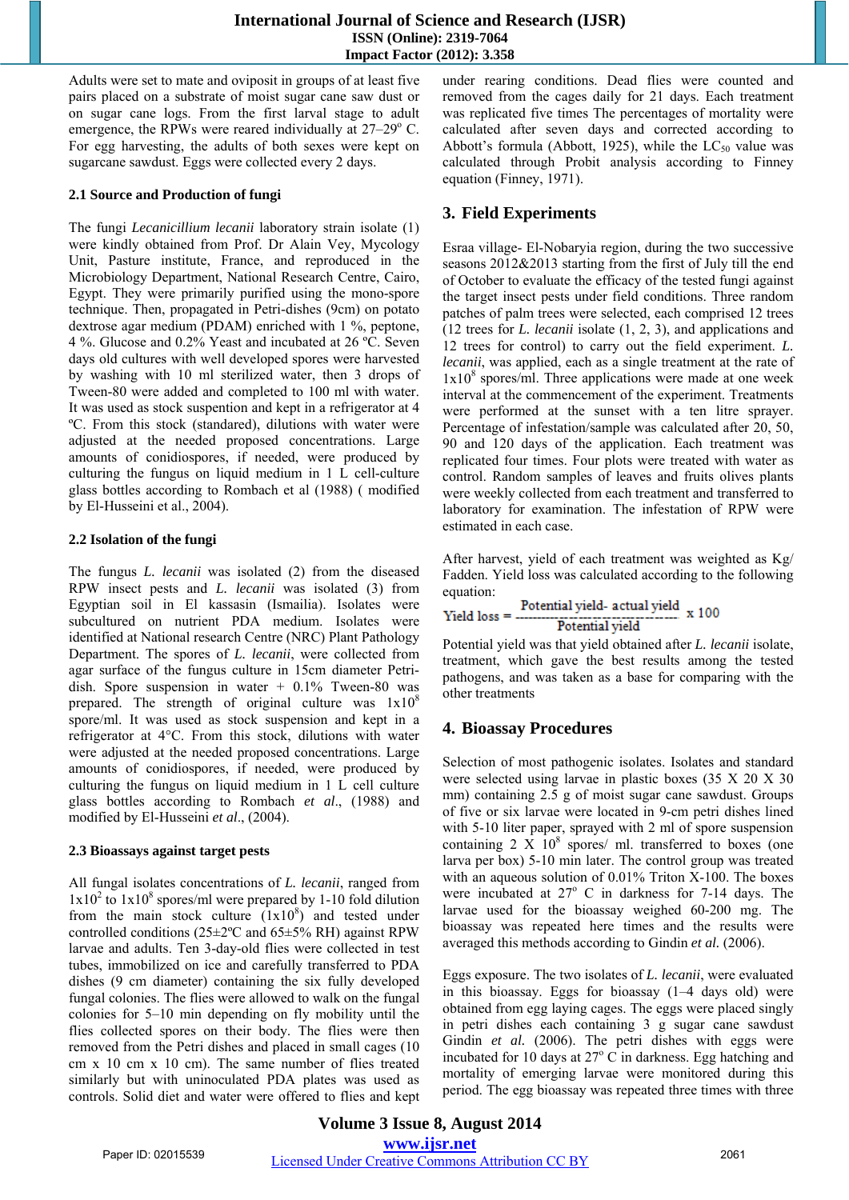Adults were set to mate and oviposit in groups of at least five pairs placed on a substrate of moist sugar cane saw dust or on sugar cane logs. From the first larval stage to adult emergence, the RPWs were reared individually at 27–29° C. For egg harvesting, the adults of both sexes were kept on sugarcane sawdust. Eggs were collected every 2 days.

### **2.1 Source and Production of fungi**

The fungi *Lecanicillium lecanii* laboratory strain isolate (1) were kindly obtained from Prof. Dr Alain Vey, Mycology Unit, Pasture institute, France, and reproduced in the Microbiology Department, National Research Centre, Cairo, Egypt. They were primarily purified using the mono-spore technique. Then, propagated in Petri-dishes (9cm) on potato dextrose agar medium (PDAM) enriched with 1 %, peptone, 4 %. Glucose and 0.2% Yeast and incubated at 26 ºC. Seven days old cultures with well developed spores were harvested by washing with 10 ml sterilized water, then 3 drops of Tween-80 were added and completed to 100 ml with water. It was used as stock suspention and kept in a refrigerator at 4 ºC. From this stock (standared), dilutions with water were adjusted at the needed proposed concentrations. Large amounts of conidiospores, if needed, were produced by culturing the fungus on liquid medium in 1 L cell-culture glass bottles according to Rombach et al (1988) ( modified by El-Husseini et al., 2004).

### **2.2 Isolation of the fungi**

The fungus *L. lecanii* was isolated (2) from the diseased RPW insect pests and *L. lecanii* was isolated (3) from Egyptian soil in El kassasin (Ismailia). Isolates were subcultured on nutrient PDA medium. Isolates were identified at National research Centre (NRC) Plant Pathology Department. The spores of *L. lecanii*, were collected from agar surface of the fungus culture in 15cm diameter Petridish. Spore suspension in water + 0.1% Tween-80 was prepared. The strength of original culture was  $1x10<sup>8</sup>$ spore/ml. It was used as stock suspension and kept in a refrigerator at 4°C. From this stock, dilutions with water were adjusted at the needed proposed concentrations. Large amounts of conidiospores, if needed, were produced by culturing the fungus on liquid medium in 1 L cell culture glass bottles according to Rombach *et al*., (1988) and modified by El-Husseini *et al*., (2004).

# **2.3 Bioassays against target pests**

All fungal isolates concentrations of *L. lecanii*, ranged from  $1x10<sup>2</sup>$  to  $1x10<sup>8</sup>$  spores/ml were prepared by 1-10 fold dilution from the main stock culture  $(1x10<sup>8</sup>)$  and tested under controlled conditions ( $25\pm2$ °C and  $65\pm5%$  RH) against RPW larvae and adults. Ten 3-day-old flies were collected in test tubes, immobilized on ice and carefully transferred to PDA dishes (9 cm diameter) containing the six fully developed fungal colonies. The flies were allowed to walk on the fungal colonies for 5–10 min depending on fly mobility until the flies collected spores on their body. The flies were then removed from the Petri dishes and placed in small cages (10 cm x 10 cm x 10 cm). The same number of flies treated similarly but with uninoculated PDA plates was used as controls. Solid diet and water were offered to flies and kept under rearing conditions. Dead flies were counted and removed from the cages daily for 21 days. Each treatment was replicated five times The percentages of mortality were calculated after seven days and corrected according to Abbott's formula (Abbott, 1925), while the  $LC_{50}$  value was calculated through Probit analysis according to Finney equation (Finney, 1971).

# **3. Field Experiments**

Esraa village- El-Nobaryia region, during the two successive seasons 2012&2013 starting from the first of July till the end of October to evaluate the efficacy of the tested fungi against the target insect pests under field conditions. Three random patches of palm trees were selected, each comprised 12 trees (12 trees for *L. lecanii* isolate (1, 2, 3), and applications and 12 trees for control) to carry out the field experiment. *L. lecanii*, was applied, each as a single treatment at the rate of  $1x10<sup>8</sup>$  spores/ml. Three applications were made at one week interval at the commencement of the experiment. Treatments were performed at the sunset with a ten litre sprayer. Percentage of infestation/sample was calculated after 20, 50, 90 and 120 days of the application. Each treatment was replicated four times. Four plots were treated with water as control. Random samples of leaves and fruits olives plants were weekly collected from each treatment and transferred to laboratory for examination. The infestation of RPW were estimated in each case.

After harvest, yield of each treatment was weighted as Kg/ Fadden. Yield loss was calculated according to the following equation:

$$
Yield loss = \frac{Potential yield - actual yield}{Potential yield} \times 100
$$

Potential yield was that yield obtained after *L. lecanii* isolate, treatment, which gave the best results among the tested pathogens, and was taken as a base for comparing with the other treatments

# **4. Bioassay Procedures**

Selection of most pathogenic isolates. Isolates and standard were selected using larvae in plastic boxes (35 X 20 X 30 mm) containing 2.5 g of moist sugar cane sawdust. Groups of five or six larvae were located in 9-cm petri dishes lined with 5-10 liter paper, sprayed with 2 ml of spore suspension containing  $2 \times 10^8$  spores/ ml. transferred to boxes (one larva per box) 5-10 min later. The control group was treated with an aqueous solution of 0.01% Triton X-100. The boxes were incubated at  $27^{\circ}$  C in darkness for 7-14 days. The larvae used for the bioassay weighed 60-200 mg. The bioassay was repeated here times and the results were averaged this methods according to Gindin *et al.* (2006).

Eggs exposure. The two isolates of *L. lecanii*, were evaluated in this bioassay. Eggs for bioassay (1–4 days old) were obtained from egg laying cages. The eggs were placed singly in petri dishes each containing 3 g sugar cane sawdust Gindin et al. (2006). The petri dishes with eggs were incubated for 10 days at  $27^{\circ}$  C in darkness. Egg hatching and mortality of emerging larvae were monitored during this period. The egg bioassay was repeated three times with three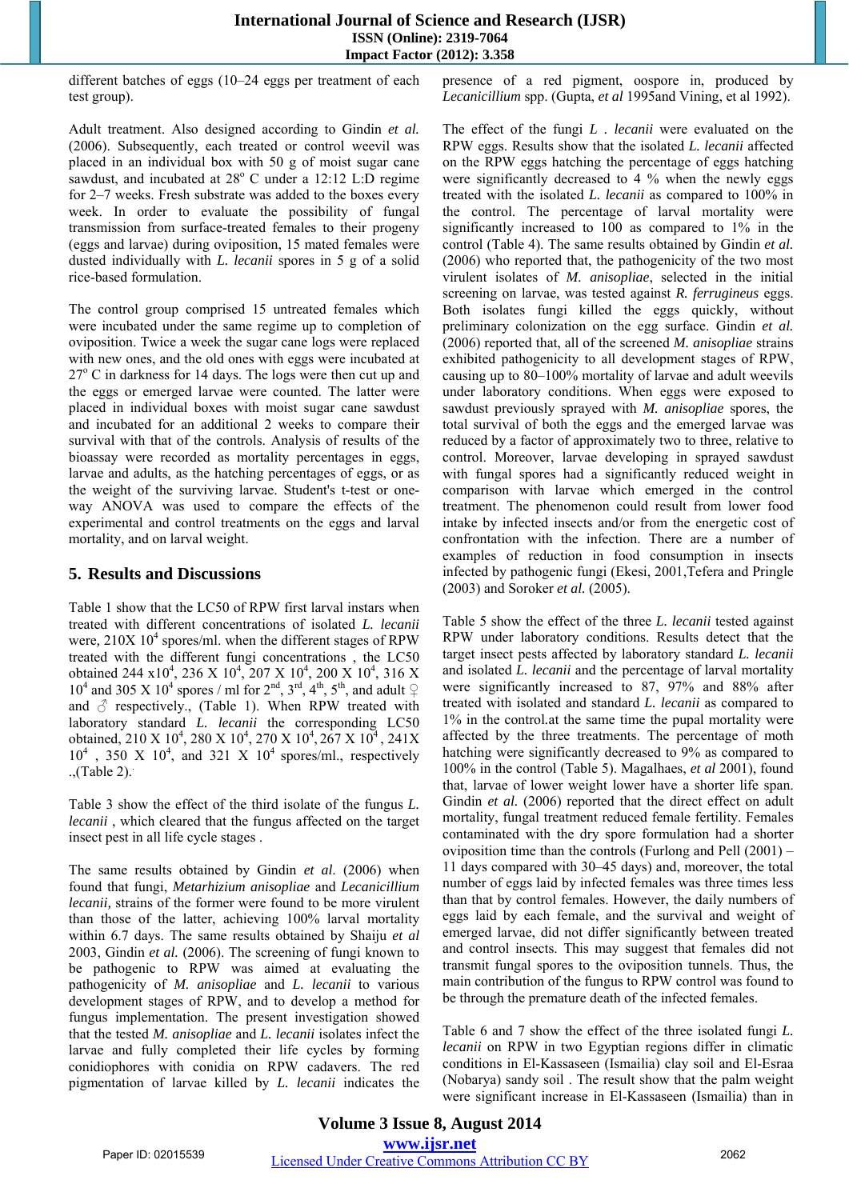different batches of eggs (10–24 eggs per treatment of each test group).

Adult treatment. Also designed according to Gindin *et al.*  (2006). Subsequently, each treated or control weevil was placed in an individual box with 50 g of moist sugar cane sawdust, and incubated at 28° C under a 12:12 L:D regime for 2–7 weeks. Fresh substrate was added to the boxes every week. In order to evaluate the possibility of fungal transmission from surface-treated females to their progeny (eggs and larvae) during oviposition, 15 mated females were dusted individually with *L. lecanii* spores in 5 g of a solid rice-based formulation.

The control group comprised 15 untreated females which were incubated under the same regime up to completion of oviposition. Twice a week the sugar cane logs were replaced with new ones, and the old ones with eggs were incubated at 27° C in darkness for 14 days. The logs were then cut up and the eggs or emerged larvae were counted. The latter were placed in individual boxes with moist sugar cane sawdust and incubated for an additional 2 weeks to compare their survival with that of the controls. Analysis of results of the bioassay were recorded as mortality percentages in eggs, larvae and adults, as the hatching percentages of eggs, or as the weight of the surviving larvae. Student's t-test or oneway ANOVA was used to compare the effects of the experimental and control treatments on the eggs and larval mortality, and on larval weight.

# **5. Results and Discussions**

Table 1 show that the LC50 of RPW first larval instars when treated with different concentrations of isolated *L. lecanii* were, 210X 10<sup>4</sup> spores/ml. when the different stages of RPW treated with the different fungi concentrations , the LC50 obtained 244 x10<sup>4</sup>, 236 X 10<sup>4</sup>, 207 X 10<sup>4</sup>, 200 X 10<sup>4</sup>, 316 X 10<sup>4</sup> and 305 X 10<sup>4</sup> spores / ml for  $2<sup>nd</sup>$ ,  $3<sup>rd</sup>$ ,  $4<sup>th</sup>$ ,  $5<sup>th</sup>$ , and adult  $\varphi$ and  $\delta$  respectively., (Table 1). When RPW treated with laboratory standard *L. lecanii* the corresponding LC50 obtained, 210 X 10<sup>4</sup>, 280 X 10<sup>4</sup>, 270 X 10<sup>4</sup>, 267 X 10<sup>4</sup>, 241X  $10^4$ , 350 X  $10^4$ , and 321 X  $10^4$  spores/ml., respectively .,(Table 2)..

Table 3 show the effect of the third isolate of the fungus *L. lecanii* , which cleared that the fungus affected on the target insect pest in all life cycle stages .

The same results obtained by Gindin *et al*. (2006) when found that fungi, *Metarhizium anisopliae* and *Lecanicillium lecanii,* strains of the former were found to be more virulent than those of the latter, achieving 100% larval mortality within 6.7 days. The same results obtained by Shaiju *et al* 2003, Gindin *et al.* (2006). The screening of fungi known to be pathogenic to RPW was aimed at evaluating the pathogenicity of *M. anisopliae* and *L. lecanii* to various development stages of RPW, and to develop a method for fungus implementation. The present investigation showed that the tested *M. anisopliae* and *L. lecanii* isolates infect the larvae and fully completed their life cycles by forming conidiophores with conidia on RPW cadavers. The red pigmentation of larvae killed by *L. lecanii* indicates the

presence of a red pigment, oospore in, produced by *Lecanicillium* spp. (Gupta, *et al* 1995and Vining, et al 1992).

The effect of the fungi *L . lecanii* were evaluated on the RPW eggs. Results show that the isolated *L. lecanii* affected on the RPW eggs hatching the percentage of eggs hatching were significantly decreased to 4 % when the newly eggs treated with the isolated *L. lecanii* as compared to 100% in the control. The percentage of larval mortality were significantly increased to 100 as compared to 1% in the control (Table 4). The same results obtained by Gindin *et al.*  (2006) who reported that, the pathogenicity of the two most virulent isolates of *M. anisopliae*, selected in the initial screening on larvae, was tested against *R. ferrugineus* eggs. Both isolates fungi killed the eggs quickly, without preliminary colonization on the egg surface. Gindin *et al.*  (2006) reported that, all of the screened *M. anisopliae* strains exhibited pathogenicity to all development stages of RPW, causing up to 80–100% mortality of larvae and adult weevils under laboratory conditions. When eggs were exposed to sawdust previously sprayed with *M. anisopliae* spores, the total survival of both the eggs and the emerged larvae was reduced by a factor of approximately two to three, relative to control. Moreover, larvae developing in sprayed sawdust with fungal spores had a significantly reduced weight in comparison with larvae which emerged in the control treatment. The phenomenon could result from lower food intake by infected insects and/or from the energetic cost of confrontation with the infection. There are a number of examples of reduction in food consumption in insects infected by pathogenic fungi (Ekesi, 2001,Tefera and Pringle (2003) and Soroker *et al.* (2005).

Table 5 show the effect of the three *L. lecanii* tested against RPW under laboratory conditions. Results detect that the target insect pests affected by laboratory standard *L. lecanii* and isolated *L. lecanii* and the percentage of larval mortality were significantly increased to 87, 97% and 88% after treated with isolated and standard *L. lecanii* as compared to 1% in the control*.*at the same time the pupal mortality were affected by the three treatments. The percentage of moth hatching were significantly decreased to 9% as compared to 100% in the control (Table 5). Magalhaes, *et al* 2001), found that, larvae of lower weight lower have a shorter life span. Gindin et al. (2006) reported that the direct effect on adult mortality, fungal treatment reduced female fertility. Females contaminated with the dry spore formulation had a shorter oviposition time than the controls (Furlong and Pell (2001) – 11 days compared with 30–45 days) and, moreover, the total number of eggs laid by infected females was three times less than that by control females. However, the daily numbers of eggs laid by each female, and the survival and weight of emerged larvae, did not differ significantly between treated and control insects. This may suggest that females did not transmit fungal spores to the oviposition tunnels. Thus, the main contribution of the fungus to RPW control was found to be through the premature death of the infected females.

Table 6 and 7 show the effect of the three isolated fungi *L. lecanii* on RPW in two Egyptian regions differ in climatic conditions in El-Kassaseen (Ismailia) clay soil and El-Esraa (Nobarya) sandy soil . The result show that the palm weight were significant increase in El-Kassaseen (Ismailia) than in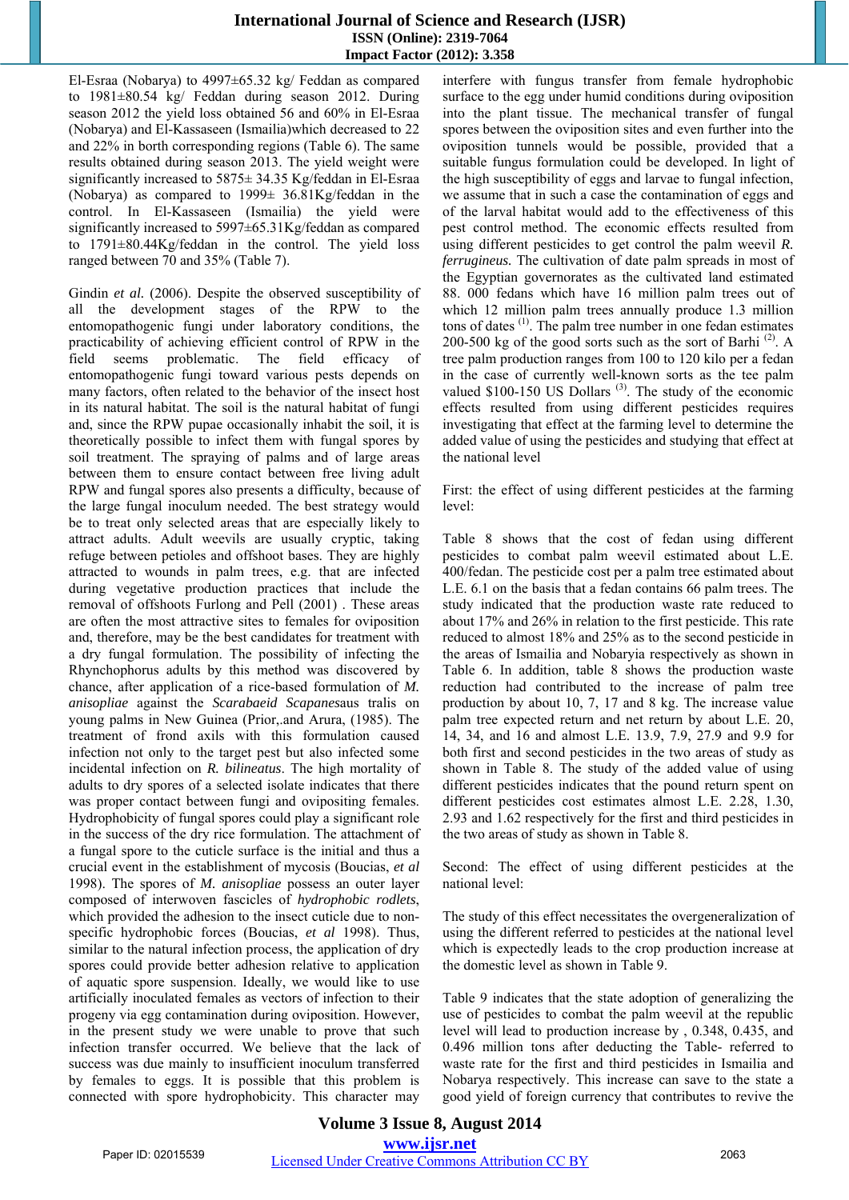El-Esraa (Nobarya) to 4997±65.32 kg/ Feddan as compared to 1981±80.54 kg/ Feddan during season 2012. During season 2012 the yield loss obtained 56 and 60% in El-Esraa (Nobarya) and El-Kassaseen (Ismailia)which decreased to 22 and 22% in borth corresponding regions (Table 6). The same results obtained during season 2013. The yield weight were significantly increased to 5875± 34.35 Kg/feddan in El-Esraa (Nobarya) as compared to 1999± 36.81Kg/feddan in the control. In El-Kassaseen (Ismailia) the yield were significantly increased to 5997±65.31Kg/feddan as compared to 1791±80.44Kg/feddan in the control. The yield loss ranged between 70 and 35% (Table 7).

Gindin *et al.* (2006). Despite the observed susceptibility of all the development stages of the RPW to the entomopathogenic fungi under laboratory conditions, the practicability of achieving efficient control of RPW in the field seems problematic. The field efficacy of entomopathogenic fungi toward various pests depends on many factors, often related to the behavior of the insect host in its natural habitat. The soil is the natural habitat of fungi and, since the RPW pupae occasionally inhabit the soil, it is theoretically possible to infect them with fungal spores by soil treatment. The spraying of palms and of large areas between them to ensure contact between free living adult RPW and fungal spores also presents a difficulty, because of the large fungal inoculum needed. The best strategy would be to treat only selected areas that are especially likely to attract adults. Adult weevils are usually cryptic, taking refuge between petioles and offshoot bases. They are highly attracted to wounds in palm trees, e.g. that are infected during vegetative production practices that include the removal of offshoots Furlong and Pell (2001) . These areas are often the most attractive sites to females for oviposition and, therefore, may be the best candidates for treatment with a dry fungal formulation. The possibility of infecting the Rhynchophorus adults by this method was discovered by chance, after application of a rice-based formulation of *M. anisopliae* against the *Scarabaeid Scapanes*aus tralis on young palms in New Guinea (Prior,.and Arura, (1985). The treatment of frond axils with this formulation caused infection not only to the target pest but also infected some incidental infection on *R. bilineatus*. The high mortality of adults to dry spores of a selected isolate indicates that there was proper contact between fungi and ovipositing females. Hydrophobicity of fungal spores could play a significant role in the success of the dry rice formulation. The attachment of a fungal spore to the cuticle surface is the initial and thus a crucial event in the establishment of mycosis (Boucias, *et al* 1998). The spores of *M. anisopliae* possess an outer layer composed of interwoven fascicles of *hydrophobic rodlets*, which provided the adhesion to the insect cuticle due to nonspecific hydrophobic forces (Boucias, *et al* 1998). Thus, similar to the natural infection process, the application of dry spores could provide better adhesion relative to application of aquatic spore suspension. Ideally, we would like to use artificially inoculated females as vectors of infection to their progeny via egg contamination during oviposition. However, in the present study we were unable to prove that such infection transfer occurred. We believe that the lack of success was due mainly to insufficient inoculum transferred by females to eggs. It is possible that this problem is connected with spore hydrophobicity. This character may

interfere with fungus transfer from female hydrophobic surface to the egg under humid conditions during oviposition into the plant tissue. The mechanical transfer of fungal spores between the oviposition sites and even further into the oviposition tunnels would be possible, provided that a suitable fungus formulation could be developed. In light of the high susceptibility of eggs and larvae to fungal infection, we assume that in such a case the contamination of eggs and of the larval habitat would add to the effectiveness of this pest control method. The economic effects resulted from using different pesticides to get control the palm weevil *R. ferrugineus.* The cultivation of date palm spreads in most of the Egyptian governorates as the cultivated land estimated 88. 000 fedans which have 16 million palm trees out of which 12 million palm trees annually produce 1.3 million tons of dates (1). The palm tree number in one fedan estimates 200-500 kg of the good sorts such as the sort of Barhi<sup>(2)</sup>. A tree palm production ranges from 100 to 120 kilo per a fedan in the case of currently well-known sorts as the tee palm valued  $$100-150$  US Dollars<sup>(3)</sup>. The study of the economic effects resulted from using different pesticides requires investigating that effect at the farming level to determine the added value of using the pesticides and studying that effect at the national level

First: the effect of using different pesticides at the farming level:

Table 8 shows that the cost of fedan using different pesticides to combat palm weevil estimated about L.E. 400/fedan. The pesticide cost per a palm tree estimated about L.E. 6.1 on the basis that a fedan contains 66 palm trees. The study indicated that the production waste rate reduced to about 17% and 26% in relation to the first pesticide. This rate reduced to almost 18% and 25% as to the second pesticide in the areas of Ismailia and Nobaryia respectively as shown in Table 6. In addition, table 8 shows the production waste reduction had contributed to the increase of palm tree production by about 10, 7, 17 and 8 kg. The increase value palm tree expected return and net return by about L.E. 20, 14, 34, and 16 and almost L.E. 13.9, 7.9, 27.9 and 9.9 for both first and second pesticides in the two areas of study as shown in Table 8. The study of the added value of using different pesticides indicates that the pound return spent on different pesticides cost estimates almost L.E. 2.28, 1.30, 2.93 and 1.62 respectively for the first and third pesticides in the two areas of study as shown in Table 8.

Second: The effect of using different pesticides at the national level:

The study of this effect necessitates the overgeneralization of using the different referred to pesticides at the national level which is expectedly leads to the crop production increase at the domestic level as shown in Table 9.

Table 9 indicates that the state adoption of generalizing the use of pesticides to combat the palm weevil at the republic level will lead to production increase by , 0.348, 0.435, and 0.496 million tons after deducting the Table- referred to waste rate for the first and third pesticides in Ismailia and Nobarya respectively. This increase can save to the state a good yield of foreign currency that contributes to revive the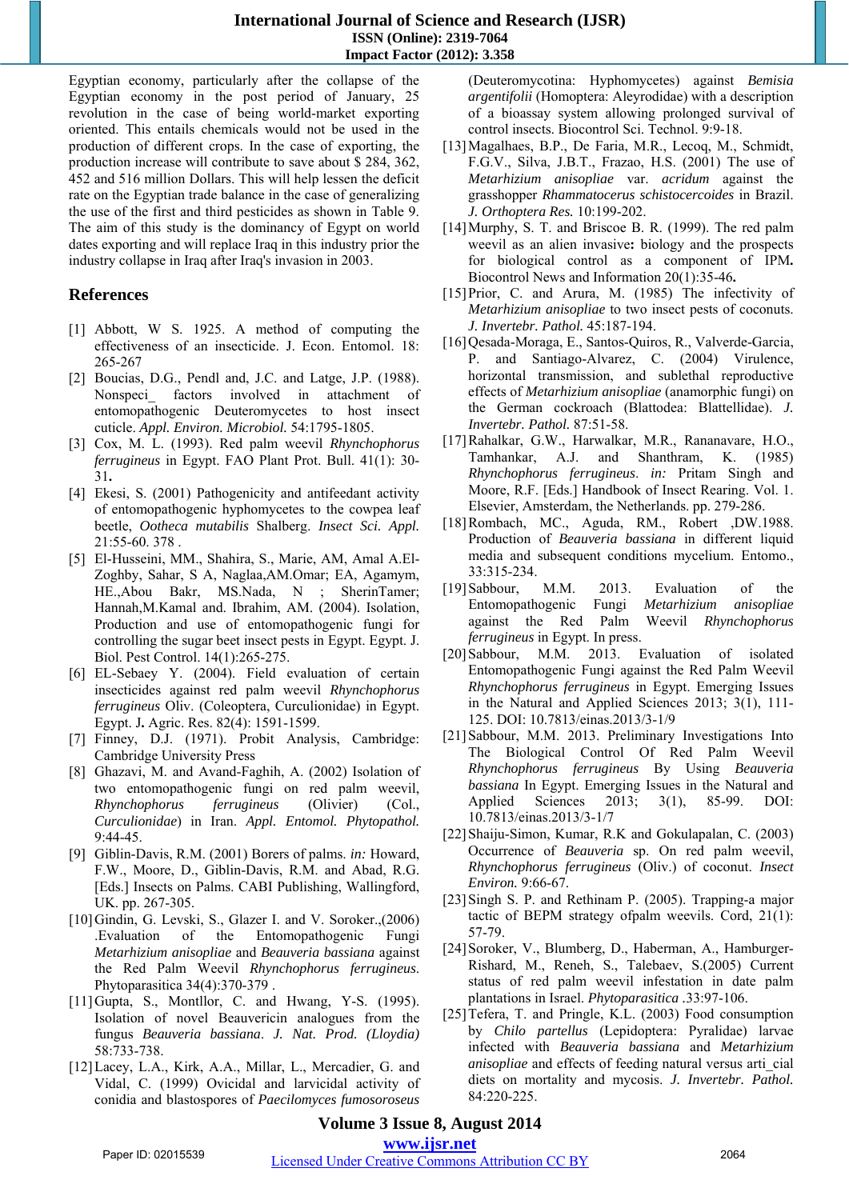Egyptian economy, particularly after the collapse of the Egyptian economy in the post period of January, 25 revolution in the case of being world-market exporting oriented. This entails chemicals would not be used in the production of different crops. In the case of exporting, the production increase will contribute to save about \$ 284, 362, 452 and 516 million Dollars. This will help lessen the deficit rate on the Egyptian trade balance in the case of generalizing the use of the first and third pesticides as shown in Table 9. The aim of this study is the dominancy of Egypt on world dates exporting and will replace Iraq in this industry prior the industry collapse in Iraq after Iraq's invasion in 2003.

# **References**

- [1] Abbott, W S. 1925. A method of computing the effectiveness of an insecticide. J. Econ. Entomol. 18: 265-267
- [2] Boucias, D.G., Pendl and, J.C. and Latge, J.P. (1988). Nonspeci factors involved in attachment of entomopathogenic Deuteromycetes to host insect cuticle. *Appl. Environ. Microbiol.* 54:1795-1805.
- [3] Cox, M. L. (1993). Red palm weevil *Rhynchophorus ferrugineus* in Egypt. FAO Plant Prot. Bull. 41(1): 30- 31**.**
- [4] Ekesi, S. (2001) Pathogenicity and antifeedant activity of entomopathogenic hyphomycetes to the cowpea leaf beetle, *Ootheca mutabilis* Shalberg. *Insect Sci. Appl.*  21:55-60. 378 .
- [5] El-Husseini, MM., Shahira, S., Marie, AM, Amal A.El-Zoghby, Sahar, S A, Naglaa,AM.Omar; EA, Agamym, HE.,Abou Bakr, MS.Nada, N ; SherinTamer; Hannah,M.Kamal and. Ibrahim, AM. (2004). Isolation, Production and use of entomopathogenic fungi for controlling the sugar beet insect pests in Egypt. Egypt. J. Biol. Pest Control. 14(1):265-275.
- [6] EL-Sebaey Y. (2004). Field evaluation of certain insecticides against red palm weevil *Rhynchophorus ferrugineus* Oliv. (Coleoptera, Curculionidae) in Egypt. Egypt. J**.** Agric. Res. 82(4): 1591-1599.
- [7] Finney, D.J. (1971). Probit Analysis, Cambridge: Cambridge University Press
- [8] Ghazavi, M. and Avand-Faghih, A. (2002) Isolation of two entomopathogenic fungi on red palm weevil, *Rhynchophorus ferrugineus* (Olivier) (Col., *Curculionidae*) in Iran. *Appl. Entomol. Phytopathol.*  9:44-45.
- [9] Giblin-Davis, R.M. (2001) Borers of palms. *in:* Howard, F.W., Moore, D., Giblin-Davis, R.M. and Abad, R.G. [Eds.] Insects on Palms. CABI Publishing, Wallingford, UK. pp. 267-305.
- [10]Gindin, G. Levski, S., Glazer I. and V. Soroker.,(2006) .Evaluation of the Entomopathogenic Fungi *Metarhizium anisopliae* and *Beauveria bassiana* against the Red Palm Weevil *Rhynchophorus ferrugineus*. Phytoparasitica 34(4):370-379 .
- [11]Gupta, S., Montllor, C. and Hwang, Y-S. (1995). Isolation of novel Beauvericin analogues from the fungus *Beauveria bassiana*. *J. Nat. Prod. (Lloydia)*  58:733-738.
- [12]Lacey, L.A., Kirk, A.A., Millar, L., Mercadier, G. and Vidal, C. (1999) Ovicidal and larvicidal activity of conidia and blastospores of *Paecilomyces fumosoroseus*

(Deuteromycotina: Hyphomycetes) against *Bemisia argentifolii* (Homoptera: Aleyrodidae) with a description of a bioassay system allowing prolonged survival of control insects. Biocontrol Sci. Technol. 9:9-18.

- [13]Magalhaes, B.P., De Faria, M.R., Lecoq, M., Schmidt, F.G.V., Silva, J.B.T., Frazao, H.S. (2001) The use of *Metarhizium anisopliae* var. *acridum* against the grasshopper *Rhammatocerus schistocercoides* in Brazil. *J. Orthoptera Res.* 10:199-202.
- [14] Murphy, S. T. and Briscoe B. R. (1999). The red palm weevil as an alien invasive**:** biology and the prospects for biological control as a component of IPM**.** Biocontrol News and Information 20(1):35-46**.**
- [15] Prior, C. and Arura, M. (1985) The infectivity of *Metarhizium anisopliae* to two insect pests of coconuts. *J. Invertebr. Pathol.* 45:187-194.
- [16]Qesada-Moraga, E., Santos-Quiros, R., Valverde-Garcia, P. and Santiago-Alvarez, C. (2004) Virulence, horizontal transmission, and sublethal reproductive effects of *Metarhizium anisopliae* (anamorphic fungi) on the German cockroach (Blattodea: Blattellidae). *J. Invertebr. Pathol.* 87:51-58.
- [17]Rahalkar, G.W., Harwalkar, M.R., Rananavare, H.O., Tamhankar, A.J. and Shanthram, K. (1985) *Rhynchophorus ferrugineus*. *in:* Pritam Singh and Moore, R.F. [Eds.] Handbook of Insect Rearing. Vol. 1. Elsevier, Amsterdam, the Netherlands. pp. 279-286.
- [18]Rombach, MC., Aguda, RM., Robert ,DW.1988. Production of *Beauveria bassiana* in different liquid media and subsequent conditions mycelium. Entomo., 33:315-234.
- [19]Sabbour, M.M. 2013. Evaluation of the Entomopathogenic Fungi *Metarhizium anisopliae*  against the Red Palm Weevil *Rhynchophorus ferrugineus* in Egypt. In press.
- [20]Sabbour, M.M. 2013. Evaluation of isolated Entomopathogenic Fungi against the Red Palm Weevil *Rhynchophorus ferrugineus* in Egypt. Emerging Issues in the Natural and Applied Sciences 2013; 3(1), 111- 125. DOI: 10.7813/einas.2013/3-1/9
- [21]Sabbour, M.M. 2013. Preliminary Investigations Into The Biological Control Of Red Palm Weevil *Rhynchophorus ferrugineus* By Using *Beauveria bassiana* In Egypt. Emerging Issues in the Natural and Applied Sciences 2013; 3(1), 85-99. DOI: Applied Sciences 2013; 3(1), 85-99. DOI: 10.7813/einas.2013/3-1/7
- [22]Shaiju-Simon, Kumar, R.K and Gokulapalan, C. (2003) Occurrence of *Beauveria* sp. On red palm weevil, *Rhynchophorus ferrugineus* (Oliv.) of coconut. *Insect Environ.* 9:66-67.
- [23] Singh S. P. and Rethinam P. (2005). Trapping-a major tactic of BEPM strategy ofpalm weevils. Cord, 21(1): 57-79.
- [24] Soroker, V., Blumberg, D., Haberman, A., Hamburger-Rishard, M., Reneh, S., Talebaev, S.(2005) Current status of red palm weevil infestation in date palm plantations in Israel. *Phytoparasitica .*33:97-106.
- [25] Tefera, T. and Pringle, K.L. (2003) Food consumption by *Chilo partellus* (Lepidoptera: Pyralidae) larvae infected with *Beauveria bassiana* and *Metarhizium anisopliae* and effects of feeding natural versus arti\_cial diets on mortality and mycosis. *J. Invertebr. Pathol.*  84:220-225.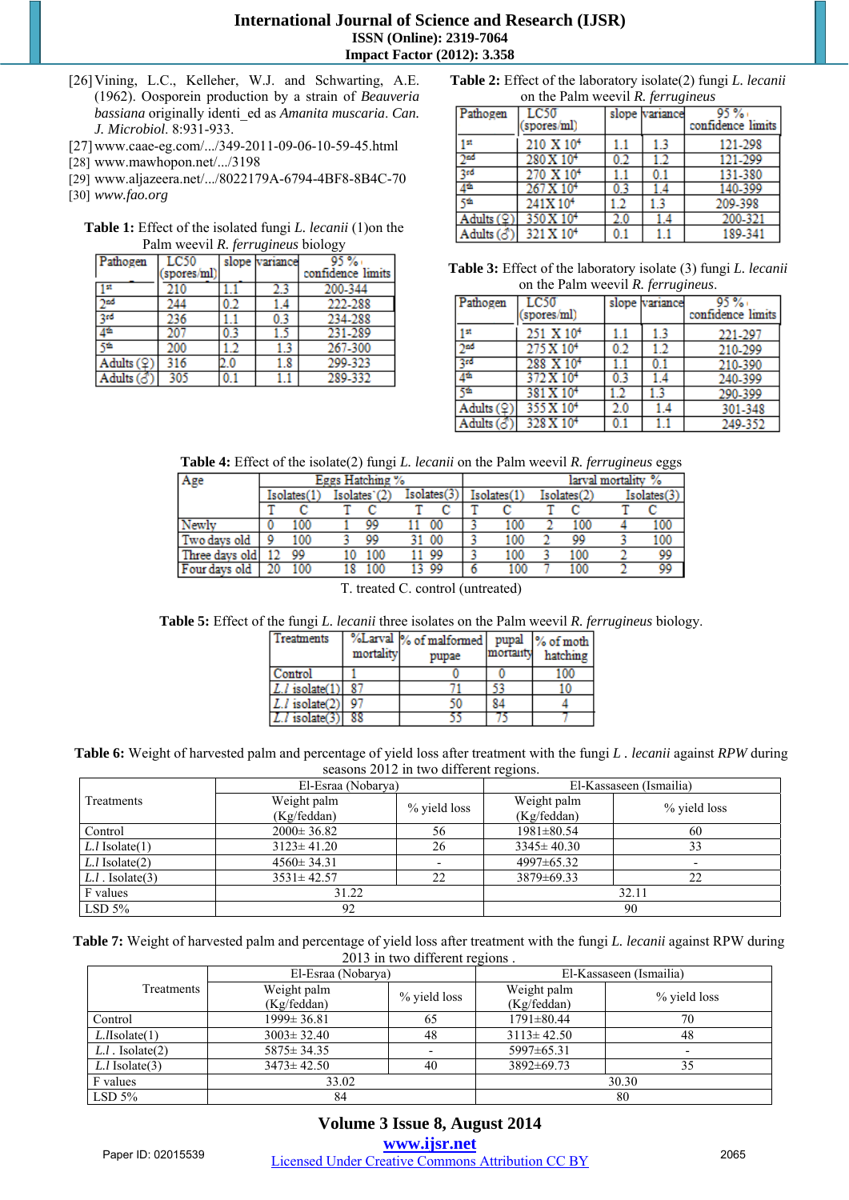- [26] Vining, L.C., Kelleher, W.J. and Schwarting, A.E. (1962). Oosporein production by a strain of *Beauveria bassiana* originally identi\_ed as *Amanita muscaria*. *Can. J. Microbiol*. 8:931-933.
- [27]www.caae-eg.com/.../349-2011-09-06-10-59-45.html
- [28] www.mawhopon.net/.../3198
- [29] www.aljazeera.net/.../8022179A-6794-4BF8-8B4C-70
- [30] *www.fao.org*

**Table 1:** Effect of the isolated fungi *L. lecanii* (1)on the Palm weevil *R. ferrugineus* biology

| Pathogen                                           | LC50       |     | slope variance | 95 %              |
|----------------------------------------------------|------------|-----|----------------|-------------------|
|                                                    | spores/ml) |     |                | confidence limits |
| st                                                 | 210        |     | 2.3            | 200-344           |
| χad                                                | 244        | 0.2 | 1.4            | 222-288           |
| 2rd                                                | 236        |     | 0.3            | 234-288           |
| 46                                                 | 207        |     |                | 231-289           |
| cф                                                 | 200        |     | 1.3            | 267-300           |
| Addings(2)                                         | 316        | 2.0 | 1.8            | 299-323           |
| $\overline{\text{Adults}}\left(\mathcal{S}\right)$ | 305        |     |                | 289-332           |

| <b>Table 2:</b> Effect of the laboratory isolate(2) fungi <i>L. lecanii</i> |  |
|-----------------------------------------------------------------------------|--|
| on the Palm weevil <i>R. ferrugineus</i>                                    |  |

| Pathogen   | LC50                  |     | slope variance | 95%               |
|------------|-----------------------|-----|----------------|-------------------|
|            | spores/ml)            |     |                | confidence limits |
| ١st        | 210 X 10 <sup>4</sup> |     | 1.3            | 121-298           |
| yad        | 280 X 10 <sup>4</sup> | 0.2 |                | 121-299           |
| Įn         | 270 X 10 <sup>4</sup> |     |                | 131-380           |
| 44         | 267 X 10 <sup>4</sup> | 0.3 | 1.4            | 140-399           |
| ςń         | 241X10 <sup>4</sup>   | .2  | 13             | 209-398           |
| Adults (오` | 350 X 10 <sup>4</sup> | 2.0 |                | 200-321           |
| Adults (3) | 321 X 10 <sup>4</sup> | 0.1 |                | 189-341           |

**Table 3:** Effect of the laboratory isolate (3) fungi *L. lecanii* on the Palm weevil *R. ferrugineus*.

| Pathogen        | LC50<br>(spores/ml)   |     | slope <i>variance</i> | 95%<br>confidence limits |
|-----------------|-----------------------|-----|-----------------------|--------------------------|
|                 |                       |     |                       |                          |
| 1 st            | 251 X 10 <sup>4</sup> | 1.1 | 13                    | 221-297                  |
| 2 <sub>nd</sub> | 275 X 10 <sup>4</sup> | 0.2 | 12                    | 210-299                  |
| 3rd             | 288 X 10 <sup>4</sup> |     | 0.1                   | 210-390                  |
| 栖               | 372 X 10 <sup>4</sup> | 0.3 | 1.4                   | 240-399                  |
|                 | 381 X 10 <sup>4</sup> |     |                       | 290-399                  |
| Adults $(2)$    | 355 X 10 <sup>4</sup> | 2.0 | 1.4                   | 301-348                  |
| Adults (♂)      | 328 X 10 <sup>4</sup> |     |                       | 249-352                  |

**Table 4:** Effect of the isolate(2) fungi *L. lecanii* on the Palm weevil *R. ferrugineus* eggs

| Age            | Eggs Hatching % |     |              |     |             |       |             |     |             | larval mortality % |             |     |
|----------------|-----------------|-----|--------------|-----|-------------|-------|-------------|-----|-------------|--------------------|-------------|-----|
|                | Isolates(1      |     | Isolates'(2) |     | Isolates(3) |       | Isolates(1) |     | Isolates(2) |                    | Isolates(3) |     |
|                |                 |     |              |     |             |       |             |     |             |                    |             |     |
| Newly          |                 | 100 |              | 99  |             | 00    |             | 100 |             | 100                |             | 100 |
| Two days old   |                 | 100 |              | 99  |             | . 00  |             | 100 |             | 99                 |             | 100 |
| Three days old |                 | 99  | 10           | 100 |             | 11 99 |             | 100 |             | 100                |             | 99  |
| Four days old  |                 | 100 | 18           | 100 |             | 13 99 |             | 100 |             | 100                |             | 99  |
|                |                 |     |              |     |             |       |             |     |             |                    |             |     |

T. treated C. control (untreated)

**Table 5:** Effect of the fungi *L. lecanii* three isolates on the Palm weevil *R. ferrugineus* biology.

| Treatments          | mortality | %Larval % of malformed<br>pupae | mortanty | pupal % of moth<br>hatching |
|---------------------|-----------|---------------------------------|----------|-----------------------------|
| Control             |           |                                 |          | 100                         |
| $ L.l $ isolate(1)  |           |                                 |          |                             |
| $L.l$ isolate $(2)$ |           |                                 | 84       |                             |
| $L.l$ isolate $(3)$ |           |                                 |          |                             |

**Table 6:** Weight of harvested palm and percentage of yield loss after treatment with the fungi *L . lecanii* against *RPW* during seasons 2012 in two different regions.

|                       | El-Esraa (Nobarya) |              | El-Kassaseen (Ismailia) |                          |  |  |
|-----------------------|--------------------|--------------|-------------------------|--------------------------|--|--|
| Treatments            | Weight palm        | % yield loss | Weight palm             | % yield loss             |  |  |
|                       | (Kg/feddan)        |              | (Kg/feddan)             |                          |  |  |
| Control               | $2000 \pm 36.82$   | 56           | $1981 \pm 80.54$        | 60                       |  |  |
| $L.1$ Isolate $(1)$   | $3123 \pm 41.20$   |              | $3345 \pm 40.30$        | 33                       |  |  |
| $L.1$ Isolate $(2)$   | $4560 \pm 34.31$   |              | $4997 \pm 65.32$        | $\overline{\phantom{0}}$ |  |  |
| $L.l$ . Isolate $(3)$ | $3531 \pm 42.57$   | 22           | 3879±69.33              | 22                       |  |  |
| F values              | 31.22              |              |                         | 32.11                    |  |  |
| LSD 5%                | 92                 |              | 90                      |                          |  |  |

**Table 7:** Weight of harvested palm and percentage of yield loss after treatment with the fungi *L. lecanii* against RPW during 2013 in two different regions .

|                              | El-Esraa (Nobarya)     |              | El-Kassaseen (Ismailia) |                          |  |
|------------------------------|------------------------|--------------|-------------------------|--------------------------|--|
| Treatments                   | Weight palm            | % yield loss | Weight palm             | % yield loss             |  |
|                              | (Kg/feddan)            |              |                         |                          |  |
| Control                      | $1999 \pm 36.81$       | 65           | $1791 \pm 80.44$        | 70                       |  |
| $L$ . <i>I</i> Isolate $(1)$ | $3003 \pm 32.40$<br>48 |              | $3113 \pm 42.50$        | 48                       |  |
| $L.l$ . Isolate $(2)$        | $5875 \pm 34.35$       |              | 5997±65.31              | $\overline{\phantom{0}}$ |  |
| $L.1$ Isolate $(3)$          | $3473 \pm 42.50$       | 40           |                         | 35                       |  |
| F values                     | 33.02                  |              | 30.30                   |                          |  |
| LSD 5%                       | 84                     |              | 80                      |                          |  |